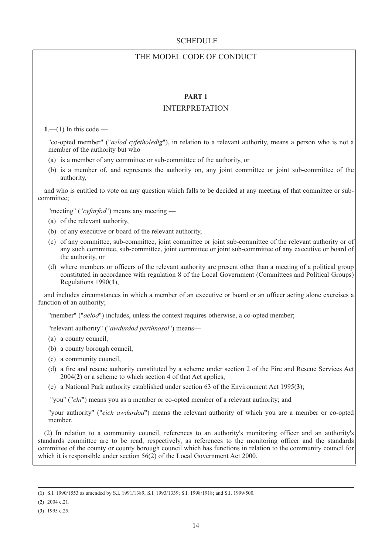## **SCHEDULE**

# THE MODEL CODE OF CONDUCT

## **PART 1**

## INTERPRETATION

 $1 - (1)$  In this code —

"co-opted member" ("*aelod cyfetholedig*"), in relation to a relevant authority, means a person who is not a member of the authority but who —

- (a) is a member of any committee or sub-committee of the authority, or
- (b) is a member of, and represents the authority on, any joint committee or joint sub-committee of the authority,

and who is entitled to vote on any question which falls to be decided at any meeting of that committee or subcommittee;

"meeting" ("*cyfarfod*") means any meeting —

- (a) of the relevant authority,
- (b) of any executive or board of the relevant authority,
- (c) of any committee, sub-committee, joint committee or joint sub-committee of the relevant authority or of any such committee, sub-committee, joint committee or joint sub-committee of any executive or board of the authority, or
- (d) where members or officers of the relevant authority are present other than a meeting of a political group constituted in accordance with regulation 8 of the Local Government (Committees and Political Groups) Regulations 1990(**1**),

and includes circumstances in which a member of an executive or board or an officer acting alone exercises a function of an authority;

"member" ("*aelod*") includes, unless the context requires otherwise, a co-opted member;

"relevant authority" ("*awdurdod perthnasol*") means—

- (a) a county council,
- (b) a county borough council,
- (c) a community council,
- (d) a fire and rescue authority constituted by a scheme under section 2 of the Fire and Rescue Services Act 2004(**2**) or a scheme to which section 4 of that Act applies,
- (e) a National Park authority established under section 63 of the Environment Act 1995(**3**);

"you" ("*chi*") means you as a member or co-opted member of a relevant authority; and

"your authority" ("*eich awdurdod*") means the relevant authority of which you are a member or co-opted member.

(2) In relation to a community council, references to an authority's monitoring officer and an authority's standards committee are to be read, respectively, as references to the monitoring officer and the standards committee of the county or county borough council which has functions in relation to the community council for which it is responsible under section 56(2) of the Local Government Act 2000.

<sup>(</sup>**1**) S.I. 1990/1553 as amended by S.I. 1991/1389; S.I. 1993/1339; S.I. 1998/1918; and S.I. 1999/500.

<sup>(</sup>**2**) 2004 c.21.

<sup>(</sup>**3**) 1995 c.25.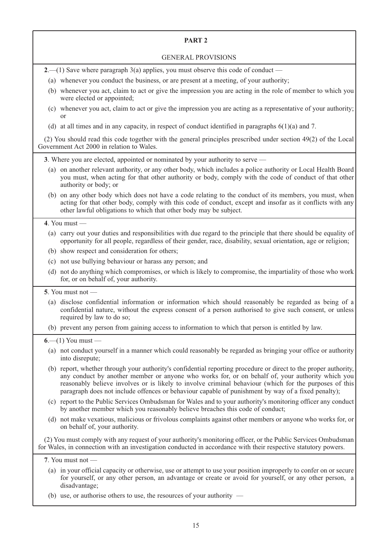## **PART 2**

### GENERAL PROVISIONS

**2**.—(1) Save where paragraph 3(a) applies, you must observe this code of conduct —

- (a) whenever you conduct the business, or are present at a meeting, of your authority;
- (b) whenever you act, claim to act or give the impression you are acting in the role of member to which you were elected or appointed;
- (c) whenever you act, claim to act or give the impression you are acting as a representative of your authority; or
- (d) at all times and in any capacity, in respect of conduct identified in paragraphs 6(1)(a) and 7.

(2) You should read this code together with the general principles prescribed under section 49(2) of the Local Government Act 2000 in relation to Wales.

- **3**. Where you are elected, appointed or nominated by your authority to serve
	- (a) on another relevant authority, or any other body, which includes a police authority or Local Health Board you must, when acting for that other authority or body, comply with the code of conduct of that other authority or body; or
	- (b) on any other body which does not have a code relating to the conduct of its members, you must, when acting for that other body, comply with this code of conduct, except and insofar as it conflicts with any other lawful obligations to which that other body may be subject.

### **4**. You must —

- (a) carry out your duties and responsibilities with due regard to the principle that there should be equality of opportunity for all people, regardless of their gender, race, disability, sexual orientation, age or religion;
- (b) show respect and consideration for others;
- (c) not use bullying behaviour or harass any person; and
- (d) not do anything which compromises, or which is likely to compromise, the impartiality of those who work for, or on behalf of, your authority.

## **5**. You must not —

- (a) disclose confidential information or information which should reasonably be regarded as being of a confidential nature, without the express consent of a person authorised to give such consent, or unless required by law to do so;
- (b) prevent any person from gaining access to information to which that person is entitled by law.

### **6**.—(1) You must —

- (a) not conduct yourself in a manner which could reasonably be regarded as bringing your office or authority into disrepute;
- (b) report, whether through your authority's confidential reporting procedure or direct to the proper authority, any conduct by another member or anyone who works for, or on behalf of, your authority which you reasonably believe involves or is likely to involve criminal behaviour (which for the purposes of this paragraph does not include offences or behaviour capable of punishment by way of a fixed penalty);
- (c) report to the Public Services Ombudsman for Wales and to your authority's monitoring officer any conduct by another member which you reasonably believe breaches this code of conduct;
- (d) not make vexatious, malicious or frivolous complaints against other members or anyone who works for, or on behalf of, your authority.

(2) You must comply with any request of your authority's monitoring officer, or the Public Services Ombudsman for Wales, in connection with an investigation conducted in accordance with their respective statutory powers.

- (a) in your official capacity or otherwise, use or attempt to use your position improperly to confer on or secure for yourself, or any other person, an advantage or create or avoid for yourself, or any other person, a disadvantage;
- (b) use, or authorise others to use, the resources of your authority —

**<sup>7</sup>**. You must not —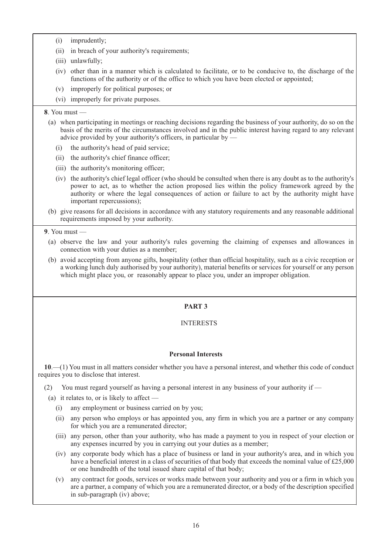- (i) imprudently;
- (ii) in breach of your authority's requirements;
- (iii) unlawfully;
- (iv) other than in a manner which is calculated to facilitate, or to be conducive to, the discharge of the functions of the authority or of the office to which you have been elected or appointed;
- (v) improperly for political purposes; or
- (vi) improperly for private purposes.

### **8**. You must —

- (a) when participating in meetings or reaching decisions regarding the business of your authority, do so on the basis of the merits of the circumstances involved and in the public interest having regard to any relevant advice provided by your authority's officers, in particular by —
	- (i) the authority's head of paid service;
	- (ii) the authority's chief finance officer;
	- (iii) the authority's monitoring officer;
	- (iv) the authority's chief legal officer (who should be consulted when there is any doubt as to the authority's power to act, as to whether the action proposed lies within the policy framework agreed by the authority or where the legal consequences of action or failure to act by the authority might have important repercussions);
- (b) give reasons for all decisions in accordance with any statutory requirements and any reasonable additional requirements imposed by your authority.

### **9**. You must —

- (a) observe the law and your authority's rules governing the claiming of expenses and allowances in connection with your duties as a member;
- (b) avoid accepting from anyone gifts, hospitality (other than official hospitality, such as a civic reception or a working lunch duly authorised by your authority), material benefits or services for yourself or any person which might place you, or reasonably appear to place you, under an improper obligation.

### **PART 3**

### INTERESTS

### **Personal Interests**

**10**.—(1) You must in all matters consider whether you have a personal interest, and whether this code of conduct requires you to disclose that interest.

(2) You must regard yourself as having a personal interest in any business of your authority if —

(a) it relates to, or is likely to affect —

- (i) any employment or business carried on by you;
- (ii) any person who employs or has appointed you, any firm in which you are a partner or any company for which you are a remunerated director;
- (iii) any person, other than your authority, who has made a payment to you in respect of your election or any expenses incurred by you in carrying out your duties as a member;
- (iv) any corporate body which has a place of business or land in your authority's area, and in which you have a beneficial interest in a class of securities of that body that exceeds the nominal value of £25,000 or one hundredth of the total issued share capital of that body;
- (v) any contract for goods, services or works made between your authority and you or a firm in which you are a partner, a company of which you are a remunerated director, or a body of the description specified in sub-paragraph (iv) above;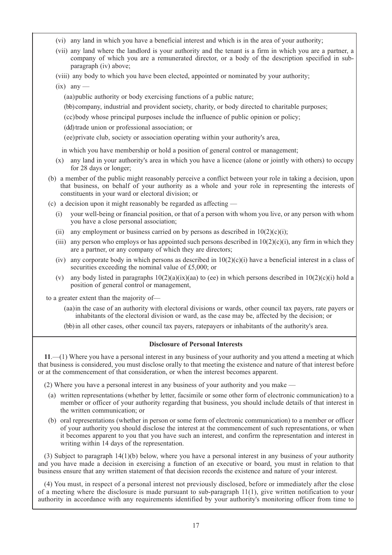- (vi) any land in which you have a beneficial interest and which is in the area of your authority;
- (vii) any land where the landlord is your authority and the tenant is a firm in which you are a partner, a company of which you are a remunerated director, or a body of the description specified in subparagraph (iv) above;
- (viii) any body to which you have been elected, appointed or nominated by your authority;
- $(ix)$  any
	- (aa)public authority or body exercising functions of a public nature;
	- (bb)company, industrial and provident society, charity, or body directed to charitable purposes;
	- (cc)body whose principal purposes include the influence of public opinion or policy;
	- (dd)trade union or professional association; or

(ee)private club, society or association operating within your authority's area,

in which you have membership or hold a position of general control or management;

- (x) any land in your authority's area in which you have a licence (alone or jointly with others) to occupy for 28 days or longer;
- (b) a member of the public might reasonably perceive a conflict between your role in taking a decision, upon that business, on behalf of your authority as a whole and your role in representing the interests of constituents in your ward or electoral division; or
- (c) a decision upon it might reasonably be regarded as affecting
	- (i) your well-being or financial position, or that of a person with whom you live, or any person with whom you have a close personal association;
	- (ii) any employment or business carried on by persons as described in  $10(2)(c)(i)$ ;
	- (iii) any person who employs or has appointed such persons described in  $10(2)(c)(i)$ , any firm in which they are a partner, or any company of which they are directors;
	- (iv) any corporate body in which persons as described in  $10(2)(c)(i)$  have a beneficial interest in a class of securities exceeding the nominal value of £5,000; or
	- (v) any body listed in paragraphs  $10(2)(a)(ix)(aa)$  to (ee) in which persons described in  $10(2)(c)(i)$  hold a position of general control or management,

to a greater extent than the majority of—

(aa)in the case of an authority with electoral divisions or wards, other council tax payers, rate payers or inhabitants of the electoral division or ward, as the case may be, affected by the decision; or

(bb)in all other cases, other council tax payers, ratepayers or inhabitants of the authority's area.

### **Disclosure of Personal Interests**

**11**.—(1) Where you have a personal interest in any business of your authority and you attend a meeting at which that business is considered, you must disclose orally to that meeting the existence and nature of that interest before or at the commencement of that consideration, or when the interest becomes apparent.

(2) Where you have a personal interest in any business of your authority and you make —

- (a) written representations (whether by letter, facsimile or some other form of electronic communication) to a member or officer of your authority regarding that business, you should include details of that interest in the written communication; or
- (b) oral representations (whether in person or some form of electronic communication) to a member or officer of your authority you should disclose the interest at the commencement of such representations, or when it becomes apparent to you that you have such an interest, and confirm the representation and interest in writing within 14 days of the representation.

(3) Subject to paragraph 14(1)(b) below, where you have a personal interest in any business of your authority and you have made a decision in exercising a function of an executive or board, you must in relation to that business ensure that any written statement of that decision records the existence and nature of your interest.

(4) You must, in respect of a personal interest not previously disclosed, before or immediately after the close of a meeting where the disclosure is made pursuant to sub-paragraph 11(1), give written notification to your authority in accordance with any requirements identified by your authority's monitoring officer from time to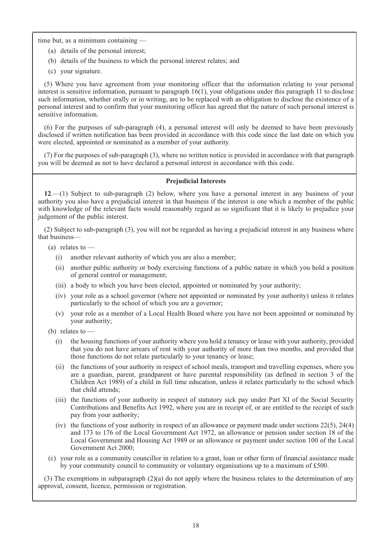time but, as a minimum containing —

- (a) details of the personal interest;
- (b) details of the business to which the personal interest relates; and
- (c) your signature.

(5) Where you have agreement from your monitoring officer that the information relating to your personal interest is sensitive information, pursuant to paragraph 16(1), your obligations under this paragraph 11 to disclose such information, whether orally or in writing, are to be replaced with an obligation to disclose the existence of a personal interest and to confirm that your monitoring officer has agreed that the nature of such personal interest is sensitive information.

(6) For the purposes of sub-paragraph (4), a personal interest will only be deemed to have been previously disclosed if written notification has been provided in accordance with this code since the last date on which you were elected, appointed or nominated as a member of your authority.

(7) For the purposes of sub-paragraph (3), where no written notice is provided in accordance with that paragraph you will be deemed as not to have declared a personal interest in accordance with this code.

#### **Prejudicial Interests**

**12**.—(1) Subject to sub-paragraph (2) below, where you have a personal interest in any business of your authority you also have a prejudicial interest in that business if the interest is one which a member of the public with knowledge of the relevant facts would reasonably regard as so significant that it is likely to prejudice your judgement of the public interest.

(2) Subject to sub-paragraph (3), you will not be regarded as having a prejudicial interest in any business where that business—

- (a) relates to  $-$ 
	- (i) another relevant authority of which you are also a member;
	- (ii) another public authority or body exercising functions of a public nature in which you hold a position of general control or management;
	- (iii) a body to which you have been elected, appointed or nominated by your authority;
	- (iv) your role as a school governor (where not appointed or nominated by your authority) unless it relates particularly to the school of which you are a governor;
	- (v) your role as a member of a Local Health Board where you have not been appointed or nominated by your authority;
- (b) relates to
	- (i) the housing functions of your authority where you hold a tenancy or lease with your authority, provided that you do not have arrears of rent with your authority of more than two months, and provided that those functions do not relate particularly to your tenancy or lease;
	- (ii) the functions of your authority in respect of school meals, transport and travelling expenses, where you are a guardian, parent, grandparent or have parental responsibility (as defined in section 3 of the Children Act 1989) of a child in full time education, unless it relates particularly to the school which that child attends;
	- (iii) the functions of your authority in respect of statutory sick pay under Part XI of the Social Security Contributions and Benefits Act 1992, where you are in receipt of, or are entitled to the receipt of such pay from your authority;
	- (iv) the functions of your authority in respect of an allowance or payment made under sections 22(5), 24(4) and 173 to 176 of the Local Government Act 1972, an allowance or pension under section 18 of the Local Government and Housing Act 1989 or an allowance or payment under section 100 of the Local Government Act 2000;
- (c) your role as a community councillor in relation to a grant, loan or other form of financial assistance made by your community council to community or voluntary organisations up to a maximum of £500.

(3) The exemptions in subparagraph (2)(a) do not apply where the business relates to the determination of any approval, consent, licence, permission or registration.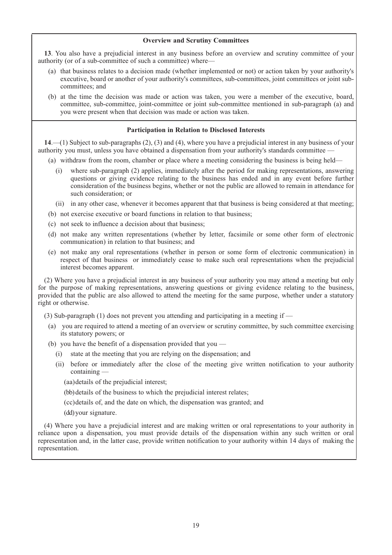### **Overview and Scrutiny Committees**

**13**. You also have a prejudicial interest in any business before an overview and scrutiny committee of your authority (or of a sub-committee of such a committee) where—

- (a) that business relates to a decision made (whether implemented or not) or action taken by your authority's executive, board or another of your authority's committees, sub-committees, joint committees or joint subcommittees; and
- (b) at the time the decision was made or action was taken, you were a member of the executive, board, committee, sub-committee, joint-committee or joint sub-committee mentioned in sub-paragraph (a) and you were present when that decision was made or action was taken.

### **Participation in Relation to Disclosed Interests**

**14**.—(1) Subject to sub-paragraphs (2), (3) and (4), where you have a prejudicial interest in any business of your authority you must, unless you have obtained a dispensation from your authority's standards committee —

- (a) withdraw from the room, chamber or place where a meeting considering the business is being held—
	- (i) where sub-paragraph (2) applies, immediately after the period for making representations, answering questions or giving evidence relating to the business has ended and in any event before further consideration of the business begins, whether or not the public are allowed to remain in attendance for such consideration; or
	- (ii) in any other case, whenever it becomes apparent that that business is being considered at that meeting;
- (b) not exercise executive or board functions in relation to that business;
- (c) not seek to influence a decision about that business;
- (d) not make any written representations (whether by letter, facsimile or some other form of electronic communication) in relation to that business; and
- (e) not make any oral representations (whether in person or some form of electronic communication) in respect of that business or immediately cease to make such oral representations when the prejudicial interest becomes apparent.

(2) Where you have a prejudicial interest in any business of your authority you may attend a meeting but only for the purpose of making representations, answering questions or giving evidence relating to the business, provided that the public are also allowed to attend the meeting for the same purpose, whether under a statutory right or otherwise.

(3) Sub-paragraph (1) does not prevent you attending and participating in a meeting if —

- (a) you are required to attend a meeting of an overview or scrutiny committee, by such committee exercising its statutory powers; or
- (b) you have the benefit of a dispensation provided that you
	- (i) state at the meeting that you are relying on the dispensation; and
	- (ii) before or immediately after the close of the meeting give written notification to your authority containing —
		- (aa)details of the prejudicial interest;
		- (bb) details of the business to which the prejudicial interest relates;
		- (cc)details of, and the date on which, the dispensation was granted; and
		- (dd)your signature.

(4) Where you have a prejudicial interest and are making written or oral representations to your authority in reliance upon a dispensation, you must provide details of the dispensation within any such written or oral representation and, in the latter case, provide written notification to your authority within 14 days of making the representation.